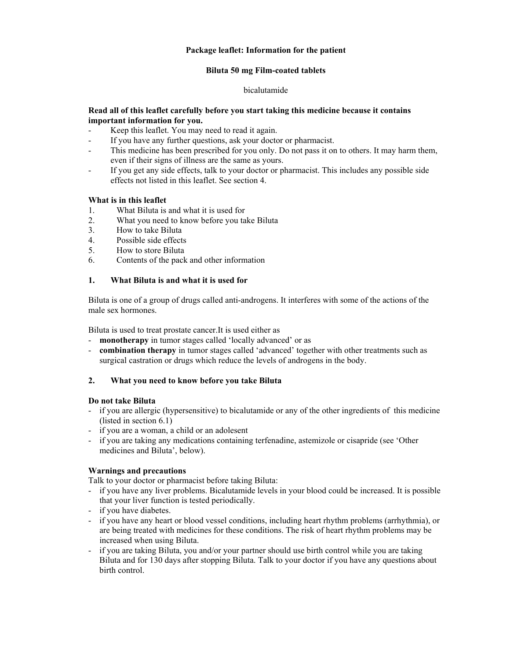## **Package leaflet: Information for the patient**

## **Biluta 50 mg Film-coated tablets**

## bicalutamide

## **Read all of this leaflet carefully before you start taking this medicine because it contains important information for you.**

- Keep this leaflet. You may need to read it again.
- If you have any further questions, ask your doctor or pharmacist.
- This medicine has been prescribed for you only. Do not pass it on to others. It may harm them, even if their signs of illness are the same as yours.
- If you get any side effects, talk to your doctor or pharmacist. This includes any possible side effects not listed in this leaflet. See section 4.

## **What is in this leaflet**

- 1. What Biluta is and what it is used for
- 2. What you need to know before you take Biluta
- 3. How to take Biluta
- 4. Possible side effects
- 5. How to store Biluta
- 6. Contents of the pack and other information

## **1. What Biluta is and what it is used for**

Biluta is one of a group of drugs called anti-androgens. It interferes with some of the actions of the male sex hormones.

Biluta is used to treat prostate cancer.It is used either as

- **monotherapy** in tumor stages called 'locally advanced' or as
- **combination therapy** in tumor stages called 'advanced' together with other treatments such as surgical castration or drugs which reduce the levels of androgens in the body.

## **2. What you need to know before you take Biluta**

## **Do not take Biluta**

- if you are allergic (hypersensitive) to bicalutamide or any of the other ingredients of this medicine (listed in section 6.1)
- if you are a woman, a child or an adolesent
- if you are taking any medications containing terfenadine, astemizole or cisapride (see 'Other medicines and Biluta', below).

## **Warnings and precautions**

Talk to your doctor or pharmacist before taking Biluta:

- if you have any liver problems. Bicalutamide levels in your blood could be increased. It is possible that your liver function is tested periodically.
- if you have diabetes.
- if you have any heart or blood vessel conditions, including heart rhythm problems (arrhythmia), or are being treated with medicines for these conditions. The risk of heart rhythm problems may be increased when using Biluta.
- if you are taking Biluta, you and/or your partner should use birth control while you are taking Biluta and for 130 days after stopping Biluta. Talk to your doctor if you have any questions about birth control.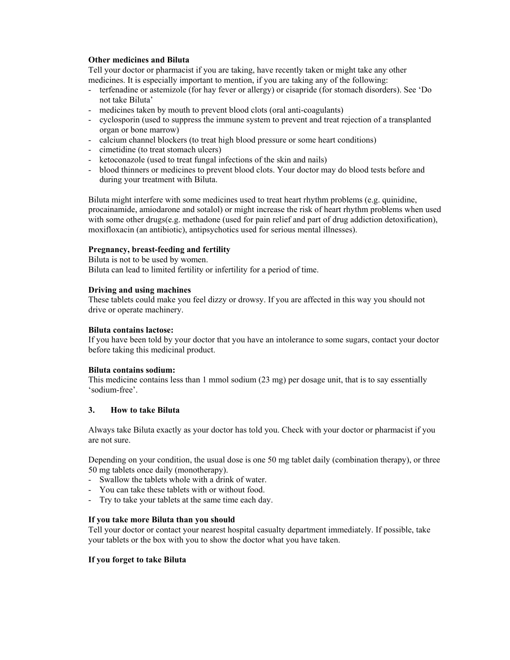## **Other medicines and Biluta**

Tell your doctor or pharmacist if you are taking, have recently taken or might take any other medicines. It is especially important to mention, if you are taking any of the following:

- terfenadine or astemizole (for hay fever or allergy) or cisapride (for stomach disorders). See 'Do not take Biluta'
- medicines taken by mouth to prevent blood clots (oral anti-coagulants)
- cyclosporin (used to suppress the immune system to prevent and treat rejection of a transplanted organ or bone marrow)
- calcium channel blockers (to treat high blood pressure or some heart conditions)
- cimetidine (to treat stomach ulcers)
- ketoconazole (used to treat fungal infections of the skin and nails)
- blood thinners or medicines to prevent blood clots. Your doctor may do blood tests before and during your treatment with Biluta.

Biluta might interfere with some medicines used to treat heart rhythm problems (e.g. quinidine, procainamide, amiodarone and sotalol) or might increase the risk of heart rhythm problems when used with some other drugs(e.g. methadone (used for pain relief and part of drug addiction detoxification), moxifloxacin (an antibiotic), antipsychotics used for serious mental illnesses).

## **Pregnancy, breast-feeding and fertility**

Biluta is not to be used by women. Biluta can lead to limited fertility or infertility for a period of time.

#### **Driving and using machines**

These tablets could make you feel dizzy or drowsy. If you are affected in this way you should not drive or operate machinery.

#### **Biluta contains lactose:**

If you have been told by your doctor that you have an intolerance to some sugars, contact your doctor before taking this medicinal product.

#### **Biluta contains sodium:**

This medicine contains less than 1 mmol sodium (23 mg) per dosage unit, that is to say essentially 'sodium-free'.

#### **3. How to take Biluta**

Always take Biluta exactly as your doctor has told you. Check with your doctor or pharmacist if you are not sure.

Depending on your condition, the usual dose is one 50 mg tablet daily (combination therapy), or three 50 mg tablets once daily (monotherapy).

- Swallow the tablets whole with a drink of water.
- You can take these tablets with or without food.
- Try to take your tablets at the same time each day.

#### **If you take more Biluta than you should**

Tell your doctor or contact your nearest hospital casualty department immediately. If possible, take your tablets or the box with you to show the doctor what you have taken.

## **If you forget to take Biluta**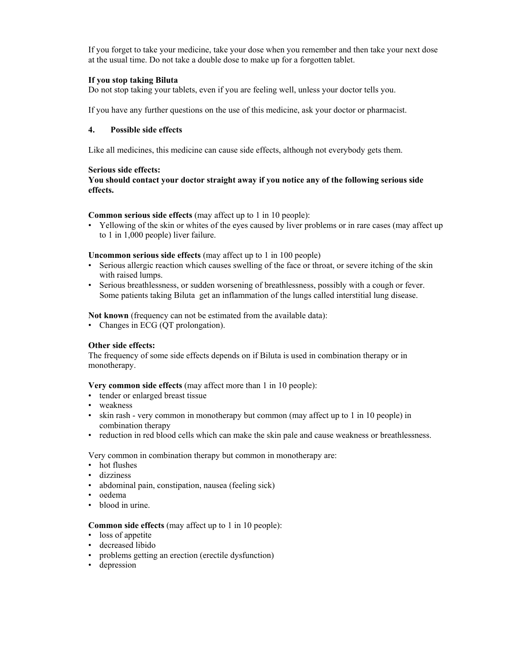If you forget to take your medicine, take your dose when you remember and then take your next dose at the usual time. Do not take a double dose to make up for a forgotten tablet.

## **If you stop taking Biluta**

Do not stop taking your tablets, even if you are feeling well, unless your doctor tells you.

If you have any further questions on the use of this medicine, ask your doctor or pharmacist.

#### **4. Possible side effects**

Like all medicines, this medicine can cause side effects, although not everybody gets them.

#### **Serious side effects:**

#### **You should contact your doctor straight away if you notice any of the following serious side effects.**

**Common serious side effects** (may affect up to 1 in 10 people):

• Yellowing of the skin or whites of the eyes caused by liver problems or in rare cases (may affect up to 1 in 1,000 people) liver failure.

#### **Uncommon serious side effects** (may affect up to 1 in 100 people)

- Serious allergic reaction which causes swelling of the face or throat, or severe itching of the skin with raised lumps.
- Serious breathlessness, or sudden worsening of breathlessness, possibly with a cough or fever. Some patients taking Biluta get an inflammation of the lungs called interstitial lung disease.

#### **Not known** (frequency can not be estimated from the available data):

• Changes in ECG (QT prolongation).

## **Other side effects:**

The frequency of some side effects depends on if Biluta is used in combination therapy or in monotherapy.

**Very common side effects** (may affect more than 1 in 10 people):

- tender or enlarged breast tissue
- weakness
- skin rash very common in monotherapy but common (may affect up to 1 in 10 people) in combination therapy
- reduction in red blood cells which can make the skin pale and cause weakness or breathlessness.

Very common in combination therapy but common in monotherapy are:

- hot flushes
- dizziness
- abdominal pain, constipation, nausea (feeling sick)
- oedema
- blood in urine.

## **Common side effects** (may affect up to 1 in 10 people):

- loss of appetite
- decreased libido
- problems getting an erection (erectile dysfunction)
- depression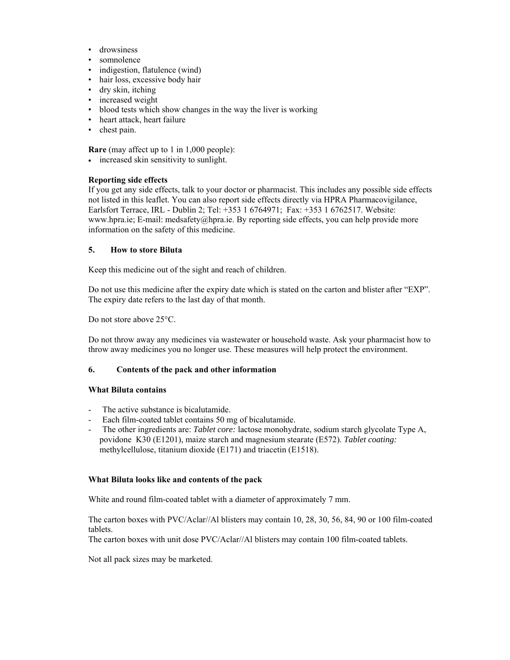- drowsiness
- somnolence
- indigestion, flatulence (wind)
- hair loss, excessive body hair
- dry skin, itching
- increased weight
- blood tests which show changes in the way the liver is working
- heart attack, heart failure
- chest pain.

**Rare** (may affect up to 1 in 1,000 people):

• increased skin sensitivity to sunlight.

#### **Reporting side effects**

If you get any side effects, talk to your doctor or pharmacist. This includes any possible side effects not listed in this leaflet. You can also report side effects directly via HPRA Pharmacovigilance, Earlsfort Terrace, IRL - Dublin 2; Tel: +353 1 6764971; Fax: +353 1 6762517. Website: www.hpra.ie; E-mail: medsafety@hpra.ie. By reporting side effects, you can help provide more information on the safety of this medicine.

#### **5. How to store Biluta**

Keep this medicine out of the sight and reach of children.

Do not use this medicine after the expiry date which is stated on the carton and blister after "EXP". The expiry date refers to the last day of that month.

Do not store above 25<sup>o</sup>C.

Do not throw away any medicines via wastewater or household waste. Ask your pharmacist how to throw away medicines you no longer use. These measures will help protect the environment.

#### **6. Contents of the pack and other information**

#### **What Biluta contains**

- The active substance is bicalutamide.
- Each film-coated tablet contains 50 mg of bicalutamide.
- The other ingredients are: *Tablet core:* lactose monohydrate, sodium starch glycolate Type A, povidone K30 (E1201), maize starch and magnesium stearate (E572). *Tablet coating:* methylcellulose, titanium dioxide (E171) and triacetin (E1518).

#### **What Biluta looks like and contents of the pack**

White and round film-coated tablet with a diameter of approximately 7 mm.

The carton boxes with PVC/Aclar//Al blisters may contain 10, 28, 30, 56, 84, 90 or 100 film-coated tablets.

The carton boxes with unit dose PVC/Aclar//Al blisters may contain 100 film-coated tablets.

Not all pack sizes may be marketed.